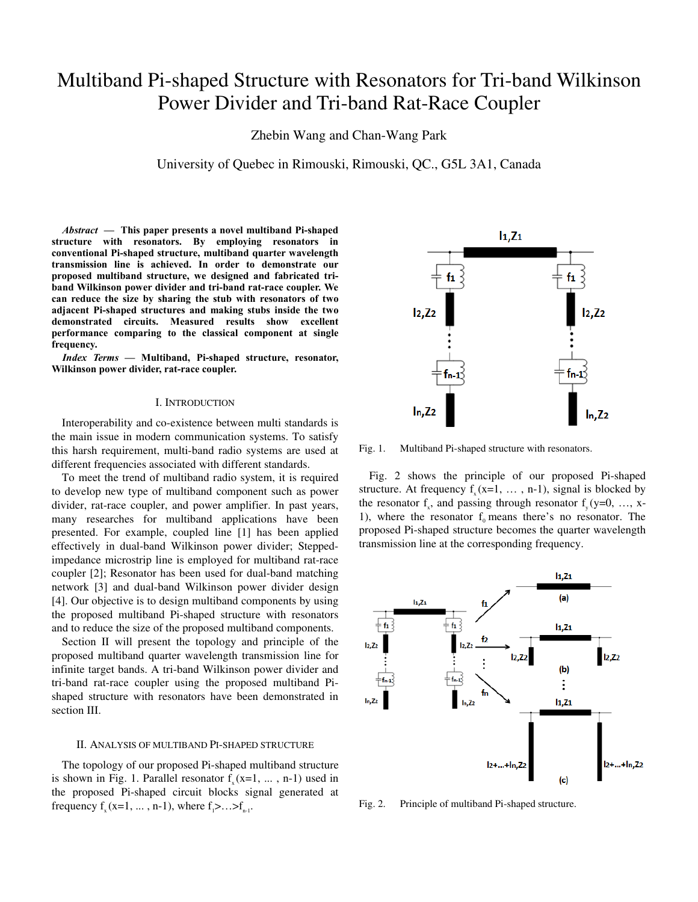# Multiband Pi-shaped Structure with Resonators for Tri-band Wilkinson Power Divider and Tri-band Rat-Race Coupler

Zhebin Wang and Chan-Wang Park

University of Quebec in Rimouski, Rimouski, QC., G5L 3A1, Canada

*Abstract* **— This paper presents a novel multiband Pi-shaped structure with resonators. By employing resonators in conventional Pi-shaped structure, multiband quarter wavelength transmission line is achieved. In order to demonstrate our proposed multiband structure, we designed and fabricated triband Wilkinson power divider and tri-band rat-race coupler. We can reduce the size by sharing the stub with resonators of two adjacent Pi-shaped structures and making stubs inside the two demonstrated circuits. Measured results show excellent performance comparing to the classical component at single frequency.** 

*Index Terms* **— Multiband, Pi-shaped structure, resonator, Wilkinson power divider, rat-race coupler.**

# I. INTRODUCTION

Interoperability and co-existence between multi standards is the main issue in modern communication systems. To satisfy this harsh requirement, multi-band radio systems are used at different frequencies associated with different standards.

To meet the trend of multiband radio system, it is required to develop new type of multiband component such as power divider, rat-race coupler, and power amplifier. In past years, many researches for multiband applications have been presented. For example, coupled line [1] has been applied effectively in dual-band Wilkinson power divider; Steppedimpedance microstrip line is employed for multiband rat-race coupler [2]; Resonator has been used for dual-band matching network [3] and dual-band Wilkinson power divider design [4]. Our objective is to design multiband components by using the proposed multiband Pi-shaped structure with resonators and to reduce the size of the proposed multiband components.

Section II will present the topology and principle of the proposed multiband quarter wavelength transmission line for infinite target bands. A tri-band Wilkinson power divider and tri-band rat-race coupler using the proposed multiband Pishaped structure with resonators have been demonstrated in section III.

## II. ANALYSIS OF MULTIBAND PI-SHAPED STRUCTURE

The topology of our proposed Pi-shaped multiband structure is shown in Fig. 1. Parallel resonator  $f(x=1, \ldots, n-1)$  used in the proposed Pi-shaped circuit blocks signal generated at frequency  $f_x(x=1, ..., n-1)$ , where  $f_1 > ... > f_{n-1}$ .



Fig. 1. Multiband Pi-shaped structure with resonators.

Fig. 2 shows the principle of our proposed Pi-shaped structure. At frequency  $f(x=1, \ldots, n-1)$ , signal is blocked by the resonator f<sub>x</sub>, and passing through resonator f<sub>x</sub>(y=0, ..., x-1), where the resonator  $f_0$  means there's no resonator. The proposed Pi-shaped structure becomes the quarter wavelength transmission line at the corresponding frequency.



Fig. 2. Principle of multiband Pi-shaped structure.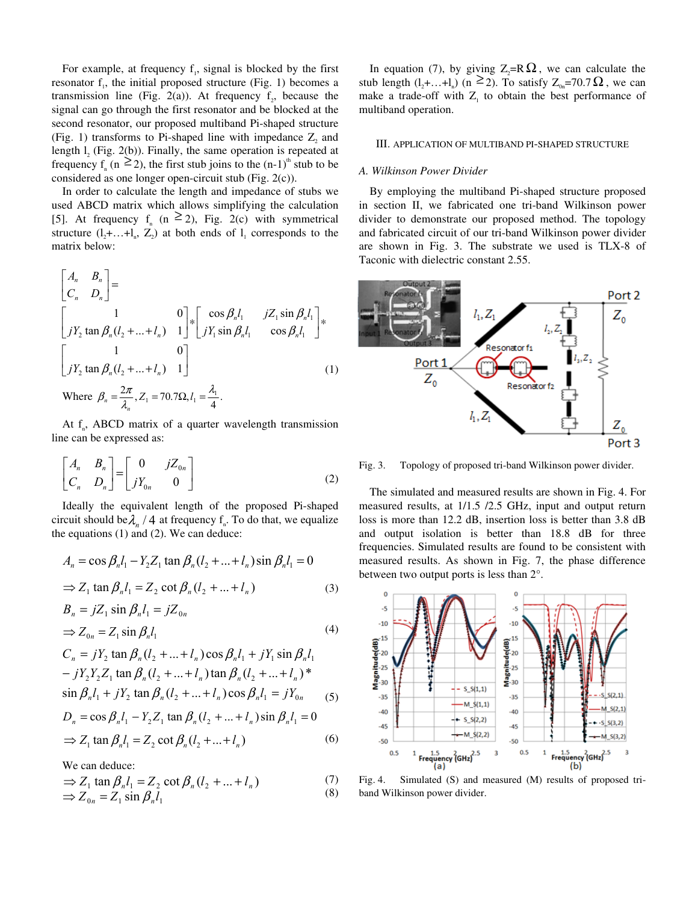For example, at frequency  $f_1$ , signal is blocked by the first resonator  $f_1$ , the initial proposed structure (Fig. 1) becomes a transmission line (Fig. 2(a)). At frequency  $f_2$ , because the signal can go through the first resonator and be blocked at the second resonator, our proposed multiband Pi-shaped structure (Fig. 1) transforms to Pi-shaped line with impedance  $Z_2$  and length  $l_2$  (Fig. 2(b)). Finally, the same operation is repeated at frequency  $f_n$  (n  $\geq 2$ ), the first stub joins to the (n-1)<sup>th</sup> stub to be considered as one longer open-circuit stub (Fig. 2(c)).

In order to calculate the length and impedance of stubs we used ABCD matrix which allows simplifying the calculation [5]. At frequency  $f_n$  (n  $\geq$  2), Fig. 2(c) with symmetrical structure  $(l, +, \ldots + l_n, Z_2)$  at both ends of  $l_1$  corresponds to the matrix below:

$$
\begin{bmatrix} A_n & B_n \ C_n & D_n \end{bmatrix} =
$$
\n
$$
\begin{bmatrix} 1 & 0 \ jY_2 \tan \beta_n (l_2 + ... + l_n) & 1 \end{bmatrix} * \begin{bmatrix} \cos \beta_n l_1 & jZ_1 \sin \beta_n l_1 \ jY_1 \sin \beta_n l_1 & \cos \beta_n l_1 \end{bmatrix} * \begin{bmatrix} 1 & 0 \ jY_2 \tan \beta_n (l_2 + ... + l_n) & 1 \end{bmatrix}
$$
\n(1)  
\nWhere  $\beta_n = \frac{2\pi}{\lambda_n}, Z_1 = 70.7 \Omega, l_1 = \frac{\lambda_1}{4}.$ 

At  $f_n$ , ABCD matrix of a quarter wavelength transmission line can be expressed as:

$$
\begin{bmatrix} A_n & B_n \\ C_n & D_n \end{bmatrix} = \begin{bmatrix} 0 & jZ_{0n} \\ jY_{0n} & 0 \end{bmatrix} \tag{2}
$$

Ideally the equivalent length of the proposed Pi-shaped circuit should be $\lambda_n / 4$  at frequency  $f_n$ . To do that, we equalize the equations (1) and (2). We can deduce:

$$
A_n = \cos \beta_n l_1 - Y_2 Z_1 \tan \beta_n (l_2 + ... + l_n) \sin \beta_n l_1 = 0
$$
  
\n
$$
\Rightarrow Z_1 \tan \beta_n l_1 = Z_2 \cot \beta_n (l_2 + ... + l_n)
$$
 (3)

$$
B_n = jZ_1 \sin \beta_n l_1 = jZ_{0n}
$$
  
\n
$$
\Rightarrow Z_{0n} = Z_1 \sin \beta_n l_1
$$
\n(4)

$$
C_n = jY_2 \tan \beta_n (l_2 + ... + l_n) \cos \beta_n l_1 + jY_1 \sin \beta_n l_1
$$
  
\n
$$
- jY_2 Y_2 Z_1 \tan \beta_n (l_2 + ... + l_n) \tan \beta_n (l_2 + ... + l_n) *
$$
  
\n
$$
\sin \beta_n l_1 + jY_2 \tan \beta_n (l_2 + ... + l_n) \cos \beta_n l_1 = jY_{0n}
$$
  
\n
$$
D_n = \cos \beta_n l_1 - Y_2 Z_1 \tan \beta_n (l_2 + ... + l_n) \sin \beta_n l_1 = 0
$$
  
\n
$$
\Rightarrow Z_1 \tan \beta_n l_1 = Z_2 \cot \beta_n (l_2 + ... + l_n)
$$
 (6)

We can deduce:

$$
\Rightarrow Z_1 \tan \beta_n l_1 = Z_2 \cot \beta_n (l_2 + ... + l_n)
$$
\n
$$
\Rightarrow Z_1 = Z \sin \beta l \tag{3}
$$

$$
\Rightarrow Z_1 \tan \rho_n \iota_1 - Z_2 \cot \rho_n (\iota_2 + \dots + \iota_n)
$$
  
\n
$$
\Rightarrow Z_{0n} = Z_1 \sin \beta_n l_1
$$

In equation (7), by giving  $Z_2=R\Omega$ , we can calculate the stub length  $(l_2 + ... + l_n)$  (n  $\geq 2$ ). To satisfy  $Z_{0n} = 70.7 \Omega$ , we can make a trade-off with  $Z_1$  to obtain the best performance of multiband operation.

# III. APPLICATION OF MULTIBAND PI-SHAPED STRUCTURE

#### *A. Wilkinson Power Divider*

By employing the multiband Pi-shaped structure proposed in section II, we fabricated one tri-band Wilkinson power divider to demonstrate our proposed method. The topology and fabricated circuit of our tri-band Wilkinson power divider are shown in Fig. 3. The substrate we used is TLX-8 of Taconic with dielectric constant 2.55.



Fig. 3. Topology of proposed tri-band Wilkinson power divider.

The simulated and measured results are shown in Fig. 4. For measured results, at 1/1.5 /2.5 GHz, input and output return loss is more than 12.2 dB, insertion loss is better than 3.8 dB and output isolation is better than 18.8 dB for three frequencies. Simulated results are found to be consistent with measured results. As shown in Fig. 7, the phase difference between two output ports is less than 2°.



Fig. 4. Simulated (S) and measured (M) results of proposed triband Wilkinson power divider.